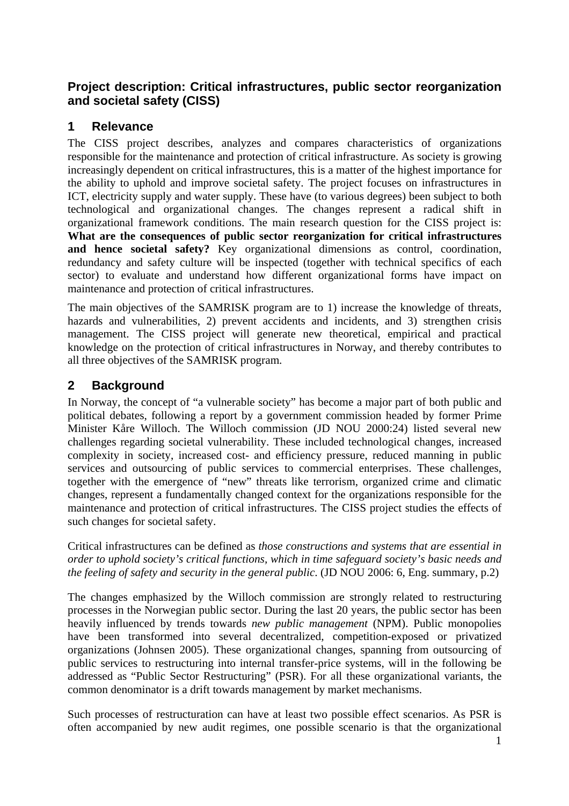## **Project description: Critical infrastructures, public sector reorganization and societal safety (CISS)**

## **1 Relevance**

The CISS project describes, analyzes and compares characteristics of organizations responsible for the maintenance and protection of critical infrastructure. As society is growing increasingly dependent on critical infrastructures, this is a matter of the highest importance for the ability to uphold and improve societal safety. The project focuses on infrastructures in ICT, electricity supply and water supply. These have (to various degrees) been subject to both technological and organizational changes. The changes represent a radical shift in organizational framework conditions. The main research question for the CISS project is: **What are the consequences of public sector reorganization for critical infrastructures and hence societal safety?** Key organizational dimensions as control, coordination, redundancy and safety culture will be inspected (together with technical specifics of each sector) to evaluate and understand how different organizational forms have impact on maintenance and protection of critical infrastructures.

The main objectives of the SAMRISK program are to 1) increase the knowledge of threats, hazards and vulnerabilities, 2) prevent accidents and incidents, and 3) strengthen crisis management. The CISS project will generate new theoretical, empirical and practical knowledge on the protection of critical infrastructures in Norway, and thereby contributes to all three objectives of the SAMRISK program.

## **2 Background**

In Norway, the concept of "a vulnerable society" has become a major part of both public and political debates, following a report by a government commission headed by former Prime Minister Kåre Willoch. The Willoch commission (JD NOU 2000:24) listed several new challenges regarding societal vulnerability. These included technological changes, increased complexity in society, increased cost- and efficiency pressure, reduced manning in public services and outsourcing of public services to commercial enterprises. These challenges, together with the emergence of "new" threats like terrorism, organized crime and climatic changes, represent a fundamentally changed context for the organizations responsible for the maintenance and protection of critical infrastructures. The CISS project studies the effects of such changes for societal safety.

Critical infrastructures can be defined as *those constructions and systems that are essential in order to uphold society's critical functions, which in time safeguard society's basic needs and the feeling of safety and security in the general public*. (JD NOU 2006: 6, Eng. summary, p.2)

The changes emphasized by the Willoch commission are strongly related to restructuring processes in the Norwegian public sector. During the last 20 years, the public sector has been heavily influenced by trends towards *new public management* (NPM). Public monopolies have been transformed into several decentralized, competition-exposed or privatized organizations (Johnsen 2005). These organizational changes, spanning from outsourcing of public services to restructuring into internal transfer-price systems, will in the following be addressed as "Public Sector Restructuring" (PSR). For all these organizational variants, the common denominator is a drift towards management by market mechanisms.

Such processes of restructuration can have at least two possible effect scenarios. As PSR is often accompanied by new audit regimes, one possible scenario is that the organizational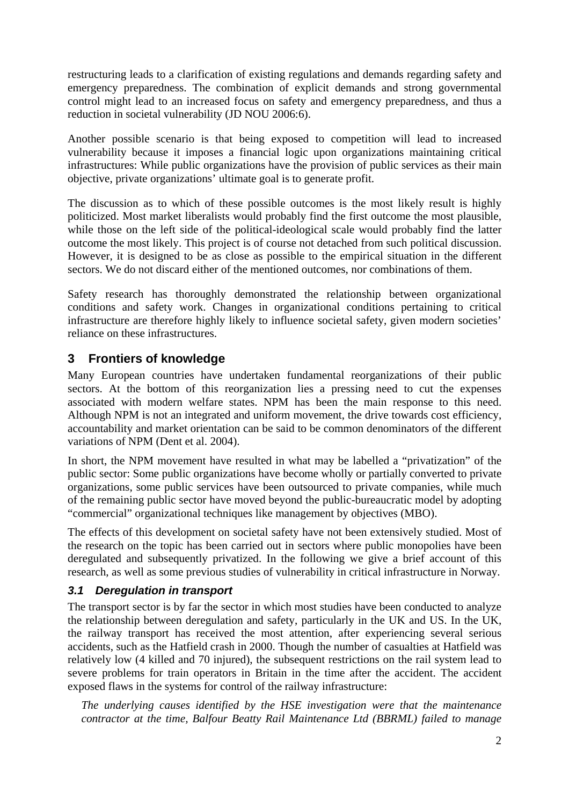restructuring leads to a clarification of existing regulations and demands regarding safety and emergency preparedness. The combination of explicit demands and strong governmental control might lead to an increased focus on safety and emergency preparedness, and thus a reduction in societal vulnerability (JD NOU 2006:6).

Another possible scenario is that being exposed to competition will lead to increased vulnerability because it imposes a financial logic upon organizations maintaining critical infrastructures: While public organizations have the provision of public services as their main objective, private organizations' ultimate goal is to generate profit.

The discussion as to which of these possible outcomes is the most likely result is highly politicized. Most market liberalists would probably find the first outcome the most plausible, while those on the left side of the political-ideological scale would probably find the latter outcome the most likely. This project is of course not detached from such political discussion. However, it is designed to be as close as possible to the empirical situation in the different sectors. We do not discard either of the mentioned outcomes, nor combinations of them.

Safety research has thoroughly demonstrated the relationship between organizational conditions and safety work. Changes in organizational conditions pertaining to critical infrastructure are therefore highly likely to influence societal safety, given modern societies' reliance on these infrastructures.

## **3 Frontiers of knowledge**

Many European countries have undertaken fundamental reorganizations of their public sectors. At the bottom of this reorganization lies a pressing need to cut the expenses associated with modern welfare states. NPM has been the main response to this need. Although NPM is not an integrated and uniform movement, the drive towards cost efficiency, accountability and market orientation can be said to be common denominators of the different variations of NPM (Dent et al. 2004).

In short, the NPM movement have resulted in what may be labelled a "privatization" of the public sector: Some public organizations have become wholly or partially converted to private organizations, some public services have been outsourced to private companies, while much of the remaining public sector have moved beyond the public-bureaucratic model by adopting "commercial" organizational techniques like management by objectives (MBO).

The effects of this development on societal safety have not been extensively studied. Most of the research on the topic has been carried out in sectors where public monopolies have been deregulated and subsequently privatized. In the following we give a brief account of this research, as well as some previous studies of vulnerability in critical infrastructure in Norway.

## *3.1 Deregulation in transport*

The transport sector is by far the sector in which most studies have been conducted to analyze the relationship between deregulation and safety, particularly in the UK and US. In the UK, the railway transport has received the most attention, after experiencing several serious accidents, such as the Hatfield crash in 2000. Though the number of casualties at Hatfield was relatively low (4 killed and 70 injured), the subsequent restrictions on the rail system lead to severe problems for train operators in Britain in the time after the accident. The accident exposed flaws in the systems for control of the railway infrastructure:

*The underlying causes identified by the HSE investigation were that the maintenance contractor at the time, Balfour Beatty Rail Maintenance Ltd (BBRML) failed to manage*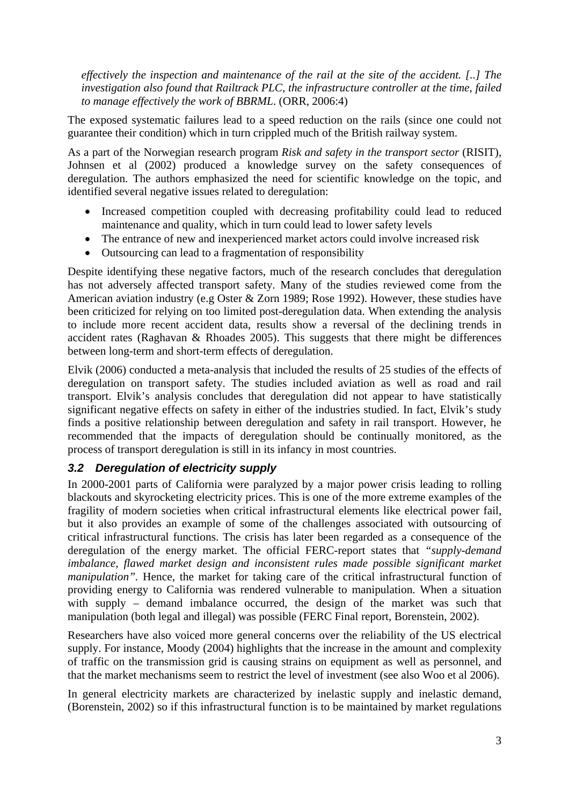*effectively the inspection and maintenance of the rail at the site of the accident. [..] The investigation also found that Railtrack PLC, the infrastructure controller at the time, failed to manage effectively the work of BBRML*. (ORR, 2006:4)

The exposed systematic failures lead to a speed reduction on the rails (since one could not guarantee their condition) which in turn crippled much of the British railway system.

As a part of the Norwegian research program *Risk and safety in the transport sector* (RISIT), Johnsen et al (2002) produced a knowledge survey on the safety consequences of deregulation. The authors emphasized the need for scientific knowledge on the topic, and identified several negative issues related to deregulation:

- Increased competition coupled with decreasing profitability could lead to reduced maintenance and quality, which in turn could lead to lower safety levels
- The entrance of new and inexperienced market actors could involve increased risk
- Outsourcing can lead to a fragmentation of responsibility

Despite identifying these negative factors, much of the research concludes that deregulation has not adversely affected transport safety. Many of the studies reviewed come from the American aviation industry (e.g Oster & Zorn 1989; Rose 1992). However, these studies have been criticized for relying on too limited post-deregulation data. When extending the analysis to include more recent accident data, results show a reversal of the declining trends in accident rates (Raghavan & Rhoades 2005). This suggests that there might be differences between long-term and short-term effects of deregulation.

Elvik (2006) conducted a meta-analysis that included the results of 25 studies of the effects of deregulation on transport safety. The studies included aviation as well as road and rail transport. Elvik's analysis concludes that deregulation did not appear to have statistically significant negative effects on safety in either of the industries studied. In fact, Elvik's study finds a positive relationship between deregulation and safety in rail transport. However, he recommended that the impacts of deregulation should be continually monitored, as the process of transport deregulation is still in its infancy in most countries.

## *3.2 Deregulation of electricity supply*

In 2000-2001 parts of California were paralyzed by a major power crisis leading to rolling blackouts and skyrocketing electricity prices. This is one of the more extreme examples of the fragility of modern societies when critical infrastructural elements like electrical power fail, but it also provides an example of some of the challenges associated with outsourcing of critical infrastructural functions. The crisis has later been regarded as a consequence of the deregulation of the energy market. The official FERC-report states that *"supply-demand imbalance, flawed market design and inconsistent rules made possible significant market manipulation*". Hence, the market for taking care of the critical infrastructural function of providing energy to California was rendered vulnerable to manipulation. When a situation with supply – demand imbalance occurred, the design of the market was such that manipulation (both legal and illegal) was possible (FERC Final report, Borenstein, 2002).

Researchers have also voiced more general concerns over the reliability of the US electrical supply. For instance, Moody (2004) highlights that the increase in the amount and complexity of traffic on the transmission grid is causing strains on equipment as well as personnel, and that the market mechanisms seem to restrict the level of investment (see also Woo et al 2006).

In general electricity markets are characterized by inelastic supply and inelastic demand, (Borenstein, 2002) so if this infrastructural function is to be maintained by market regulations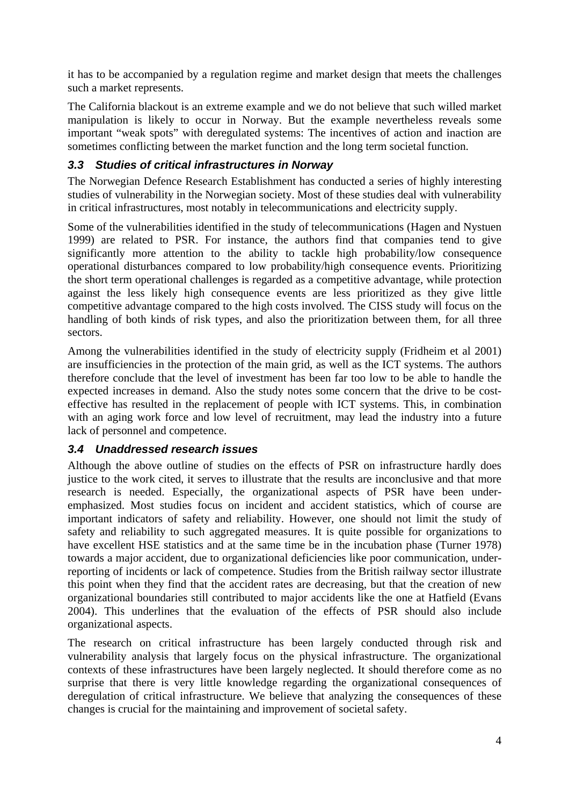it has to be accompanied by a regulation regime and market design that meets the challenges such a market represents.

The California blackout is an extreme example and we do not believe that such willed market manipulation is likely to occur in Norway. But the example nevertheless reveals some important "weak spots" with deregulated systems: The incentives of action and inaction are sometimes conflicting between the market function and the long term societal function.

### *3.3 Studies of critical infrastructures in Norway*

The Norwegian Defence Research Establishment has conducted a series of highly interesting studies of vulnerability in the Norwegian society. Most of these studies deal with vulnerability in critical infrastructures, most notably in telecommunications and electricity supply.

Some of the vulnerabilities identified in the study of telecommunications (Hagen and Nystuen 1999) are related to PSR. For instance, the authors find that companies tend to give significantly more attention to the ability to tackle high probability/low consequence operational disturbances compared to low probability/high consequence events. Prioritizing the short term operational challenges is regarded as a competitive advantage, while protection against the less likely high consequence events are less prioritized as they give little competitive advantage compared to the high costs involved. The CISS study will focus on the handling of both kinds of risk types, and also the prioritization between them, for all three sectors.

Among the vulnerabilities identified in the study of electricity supply (Fridheim et al 2001) are insufficiencies in the protection of the main grid, as well as the ICT systems. The authors therefore conclude that the level of investment has been far too low to be able to handle the expected increases in demand. Also the study notes some concern that the drive to be costeffective has resulted in the replacement of people with ICT systems. This, in combination with an aging work force and low level of recruitment, may lead the industry into a future lack of personnel and competence.

## *3.4 Unaddressed research issues*

Although the above outline of studies on the effects of PSR on infrastructure hardly does justice to the work cited, it serves to illustrate that the results are inconclusive and that more research is needed. Especially, the organizational aspects of PSR have been underemphasized. Most studies focus on incident and accident statistics, which of course are important indicators of safety and reliability. However, one should not limit the study of safety and reliability to such aggregated measures. It is quite possible for organizations to have excellent HSE statistics and at the same time be in the incubation phase (Turner 1978) towards a major accident, due to organizational deficiencies like poor communication, underreporting of incidents or lack of competence. Studies from the British railway sector illustrate this point when they find that the accident rates are decreasing, but that the creation of new organizational boundaries still contributed to major accidents like the one at Hatfield (Evans 2004). This underlines that the evaluation of the effects of PSR should also include organizational aspects.

The research on critical infrastructure has been largely conducted through risk and vulnerability analysis that largely focus on the physical infrastructure. The organizational contexts of these infrastructures have been largely neglected. It should therefore come as no surprise that there is very little knowledge regarding the organizational consequences of deregulation of critical infrastructure. We believe that analyzing the consequences of these changes is crucial for the maintaining and improvement of societal safety.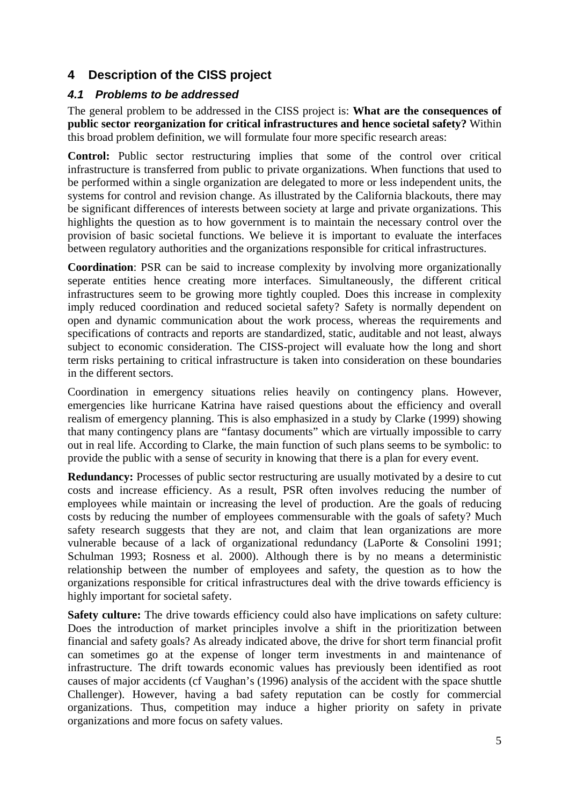## **4 Description of the CISS project**

## *4.1 Problems to be addressed*

The general problem to be addressed in the CISS project is: **What are the consequences of public sector reorganization for critical infrastructures and hence societal safety?** Within this broad problem definition, we will formulate four more specific research areas:

**Control:** Public sector restructuring implies that some of the control over critical infrastructure is transferred from public to private organizations. When functions that used to be performed within a single organization are delegated to more or less independent units, the systems for control and revision change. As illustrated by the California blackouts, there may be significant differences of interests between society at large and private organizations. This highlights the question as to how government is to maintain the necessary control over the provision of basic societal functions. We believe it is important to evaluate the interfaces between regulatory authorities and the organizations responsible for critical infrastructures.

**Coordination**: PSR can be said to increase complexity by involving more organizationally seperate entities hence creating more interfaces. Simultaneously, the different critical infrastructures seem to be growing more tightly coupled. Does this increase in complexity imply reduced coordination and reduced societal safety? Safety is normally dependent on open and dynamic communication about the work process, whereas the requirements and specifications of contracts and reports are standardized, static, auditable and not least, always subject to economic consideration. The CISS-project will evaluate how the long and short term risks pertaining to critical infrastructure is taken into consideration on these boundaries in the different sectors.

Coordination in emergency situations relies heavily on contingency plans. However, emergencies like hurricane Katrina have raised questions about the efficiency and overall realism of emergency planning. This is also emphasized in a study by Clarke (1999) showing that many contingency plans are "fantasy documents" which are virtually impossible to carry out in real life. According to Clarke, the main function of such plans seems to be symbolic: to provide the public with a sense of security in knowing that there is a plan for every event.

**Redundancy:** Processes of public sector restructuring are usually motivated by a desire to cut costs and increase efficiency. As a result, PSR often involves reducing the number of employees while maintain or increasing the level of production. Are the goals of reducing costs by reducing the number of employees commensurable with the goals of safety? Much safety research suggests that they are not, and claim that lean organizations are more vulnerable because of a lack of organizational redundancy (LaPorte & Consolini 1991; Schulman 1993; Rosness et al. 2000). Although there is by no means a deterministic relationship between the number of employees and safety, the question as to how the organizations responsible for critical infrastructures deal with the drive towards efficiency is highly important for societal safety.

**Safety culture:** The drive towards efficiency could also have implications on safety culture: Does the introduction of market principles involve a shift in the prioritization between financial and safety goals? As already indicated above, the drive for short term financial profit can sometimes go at the expense of longer term investments in and maintenance of infrastructure. The drift towards economic values has previously been identified as root causes of major accidents (cf Vaughan's (1996) analysis of the accident with the space shuttle Challenger). However, having a bad safety reputation can be costly for commercial organizations. Thus, competition may induce a higher priority on safety in private organizations and more focus on safety values.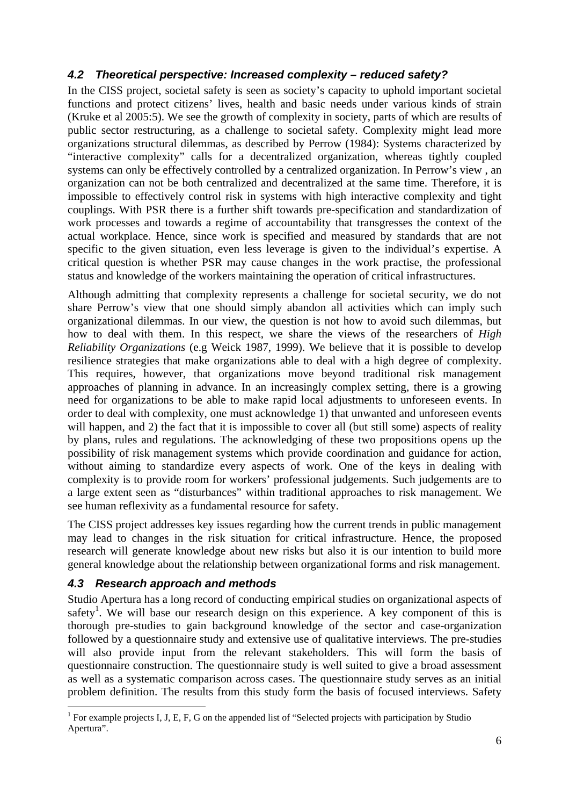## *4.2 Theoretical perspective: Increased complexity – reduced safety?*

In the CISS project, societal safety is seen as society's capacity to uphold important societal functions and protect citizens' lives, health and basic needs under various kinds of strain (Kruke et al 2005:5). We see the growth of complexity in society, parts of which are results of public sector restructuring, as a challenge to societal safety. Complexity might lead more organizations structural dilemmas, as described by Perrow (1984): Systems characterized by "interactive complexity" calls for a decentralized organization, whereas tightly coupled systems can only be effectively controlled by a centralized organization. In Perrow's view , an organization can not be both centralized and decentralized at the same time. Therefore, it is impossible to effectively control risk in systems with high interactive complexity and tight couplings. With PSR there is a further shift towards pre-specification and standardization of work processes and towards a regime of accountability that transgresses the context of the actual workplace. Hence, since work is specified and measured by standards that are not specific to the given situation, even less leverage is given to the individual's expertise. A critical question is whether PSR may cause changes in the work practise, the professional status and knowledge of the workers maintaining the operation of critical infrastructures.

Although admitting that complexity represents a challenge for societal security, we do not share Perrow's view that one should simply abandon all activities which can imply such organizational dilemmas. In our view, the question is not how to avoid such dilemmas, but how to deal with them. In this respect, we share the views of the researchers of *High Reliability Organizations* (e.g Weick 1987, 1999). We believe that it is possible to develop resilience strategies that make organizations able to deal with a high degree of complexity. This requires, however, that organizations move beyond traditional risk management approaches of planning in advance. In an increasingly complex setting, there is a growing need for organizations to be able to make rapid local adjustments to unforeseen events. In order to deal with complexity, one must acknowledge 1) that unwanted and unforeseen events will happen, and 2) the fact that it is impossible to cover all (but still some) aspects of reality by plans, rules and regulations. The acknowledging of these two propositions opens up the possibility of risk management systems which provide coordination and guidance for action, without aiming to standardize every aspects of work. One of the keys in dealing with complexity is to provide room for workers' professional judgements. Such judgements are to a large extent seen as "disturbances" within traditional approaches to risk management. We see human reflexivity as a fundamental resource for safety.

The CISS project addresses key issues regarding how the current trends in public management may lead to changes in the risk situation for critical infrastructure. Hence, the proposed research will generate knowledge about new risks but also it is our intention to build more general knowledge about the relationship between organizational forms and risk management.

## *4.3 Research approach and methods*

Studio Apertura has a long record of conducting empirical studies on organizational aspects of safety<sup>1</sup>. We will base our research design on this experience. A key component of this is thorough pre-studies to gain background knowledge of the sector and case-organization followed by a questionnaire study and extensive use of qualitative interviews. The pre-studies will also provide input from the relevant stakeholders. This will form the basis of questionnaire construction. The questionnaire study is well suited to give a broad assessment as well as a systematic comparison across cases. The questionnaire study serves as an initial problem definition. The results from this study form the basis of focused interviews. Safety

<sup>&</sup>lt;u>.</u> <sup>1</sup> For example projects I, J, E, F, G on the appended list of "Selected projects with participation by Studio Apertura".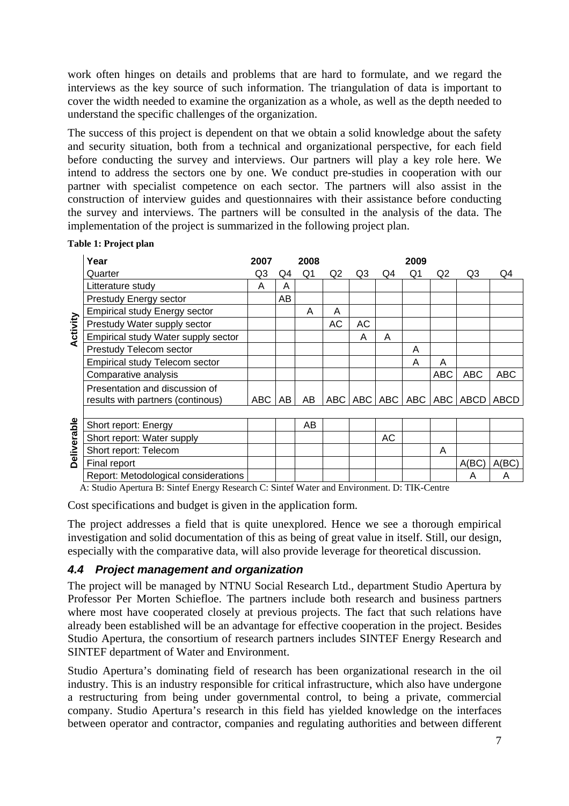work often hinges on details and problems that are hard to formulate, and we regard the interviews as the key source of such information. The triangulation of data is important to cover the width needed to examine the organization as a whole, as well as the depth needed to understand the specific challenges of the organization.

The success of this project is dependent on that we obtain a solid knowledge about the safety and security situation, both from a technical and organizational perspective, for each field before conducting the survey and interviews. Our partners will play a key role here. We intend to address the sectors one by one. We conduct pre-studies in cooperation with our partner with specialist competence on each sector. The partners will also assist in the construction of interview guides and questionnaires with their assistance before conducting the survey and interviews. The partners will be consulted in the analysis of the data. The implementation of the project is summarized in the following project plan.

|             | Year                                                                | 2007 |    | 2008 |           |           |    | 2009 |            |                                           |            |
|-------------|---------------------------------------------------------------------|------|----|------|-----------|-----------|----|------|------------|-------------------------------------------|------------|
|             | Quarter                                                             | Q3   | Q4 | Q1   | Q2        | Q3        | Q4 | Q1   | Q2         | Q3                                        | Q4         |
| Activity    | Litterature study                                                   | A    | A  |      |           |           |    |      |            |                                           |            |
|             | Prestudy Energy sector                                              |      | AB |      |           |           |    |      |            |                                           |            |
|             | <b>Empirical study Energy sector</b>                                |      |    | A    | A         |           |    |      |            |                                           |            |
|             | Prestudy Water supply sector                                        |      |    |      | <b>AC</b> | <b>AC</b> |    |      |            |                                           |            |
|             | Empirical study Water supply sector                                 |      |    |      |           | A         | A  |      |            |                                           |            |
|             | Prestudy Telecom sector                                             |      |    |      |           |           |    | A    |            |                                           |            |
|             | <b>Empirical study Telecom sector</b>                               |      |    |      |           |           |    | A    | A          |                                           |            |
|             | Comparative analysis                                                |      |    |      |           |           |    |      | <b>ABC</b> | <b>ABC</b>                                | <b>ABC</b> |
|             | Presentation and discussion of<br>results with partners (continous) | ABC  | AB | AB   |           |           |    |      |            | ABC   ABC   ABC   ABC   ABC   ABCD   ABCD |            |
|             |                                                                     |      |    |      |           |           |    |      |            |                                           |            |
| Deliverable | Short report: Energy                                                |      |    | AB   |           |           |    |      |            |                                           |            |
|             | Short report: Water supply                                          |      |    |      |           |           | AC |      |            |                                           |            |
|             | Short report: Telecom                                               |      |    |      |           |           |    |      | A          |                                           |            |
|             | Final report                                                        |      |    |      |           |           |    |      |            | A(BC)                                     | A(BC)      |
|             | Report: Metodological considerations                                |      |    |      |           |           |    |      |            | A                                         | A          |

#### **Table 1: Project plan**

A: Studio Apertura B: Sintef Energy Research C: Sintef Water and Environment. D: TIK-Centre

Cost specifications and budget is given in the application form.

The project addresses a field that is quite unexplored. Hence we see a thorough empirical investigation and solid documentation of this as being of great value in itself. Still, our design, especially with the comparative data, will also provide leverage for theoretical discussion.

### *4.4 Project management and organization*

The project will be managed by NTNU Social Research Ltd., department Studio Apertura by Professor Per Morten Schiefloe. The partners include both research and business partners where most have cooperated closely at previous projects. The fact that such relations have already been established will be an advantage for effective cooperation in the project. Besides Studio Apertura, the consortium of research partners includes SINTEF Energy Research and SINTEF department of Water and Environment.

Studio Apertura's dominating field of research has been organizational research in the oil industry. This is an industry responsible for critical infrastructure, which also have undergone a restructuring from being under governmental control, to being a private, commercial company. Studio Apertura's research in this field has yielded knowledge on the interfaces between operator and contractor, companies and regulating authorities and between different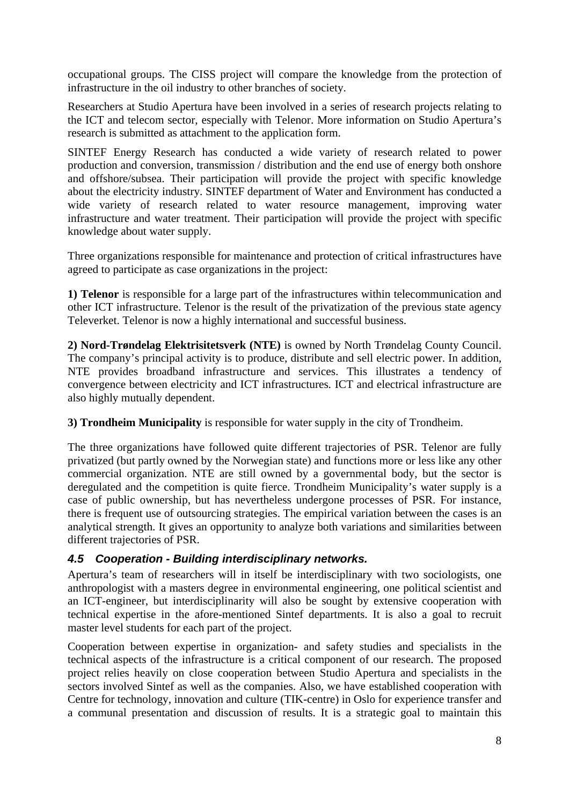occupational groups. The CISS project will compare the knowledge from the protection of infrastructure in the oil industry to other branches of society.

Researchers at Studio Apertura have been involved in a series of research projects relating to the ICT and telecom sector, especially with Telenor. More information on Studio Apertura's research is submitted as attachment to the application form.

SINTEF Energy Research has conducted a wide variety of research related to power production and conversion, transmission / distribution and the end use of energy both onshore and offshore/subsea. Their participation will provide the project with specific knowledge about the electricity industry. SINTEF department of Water and Environment has conducted a wide variety of research related to water resource management, improving water infrastructure and water treatment. Their participation will provide the project with specific knowledge about water supply.

Three organizations responsible for maintenance and protection of critical infrastructures have agreed to participate as case organizations in the project:

**1) Telenor** is responsible for a large part of the infrastructures within telecommunication and other ICT infrastructure. Telenor is the result of the privatization of the previous state agency Televerket. Telenor is now a highly international and successful business.

**2) Nord-Trøndelag Elektrisitetsverk (NTE)** is owned by North Trøndelag County Council. The company's principal activity is to produce, distribute and sell electric power. In addition, NTE provides broadband infrastructure and services. This illustrates a tendency of convergence between electricity and ICT infrastructures*.* ICT and electrical infrastructure are also highly mutually dependent.

**3) Trondheim Municipality** is responsible for water supply in the city of Trondheim.

The three organizations have followed quite different trajectories of PSR. Telenor are fully privatized (but partly owned by the Norwegian state) and functions more or less like any other commercial organization. NTE are still owned by a governmental body, but the sector is deregulated and the competition is quite fierce. Trondheim Municipality's water supply is a case of public ownership, but has nevertheless undergone processes of PSR. For instance, there is frequent use of outsourcing strategies. The empirical variation between the cases is an analytical strength. It gives an opportunity to analyze both variations and similarities between different trajectories of PSR.

## *4.5 Cooperation - Building interdisciplinary networks.*

Apertura's team of researchers will in itself be interdisciplinary with two sociologists, one anthropologist with a masters degree in environmental engineering, one political scientist and an ICT-engineer, but interdisciplinarity will also be sought by extensive cooperation with technical expertise in the afore-mentioned Sintef departments. It is also a goal to recruit master level students for each part of the project.

Cooperation between expertise in organization- and safety studies and specialists in the technical aspects of the infrastructure is a critical component of our research. The proposed project relies heavily on close cooperation between Studio Apertura and specialists in the sectors involved Sintef as well as the companies. Also, we have established cooperation with Centre for technology, innovation and culture (TIK-centre) in Oslo for experience transfer and a communal presentation and discussion of results. It is a strategic goal to maintain this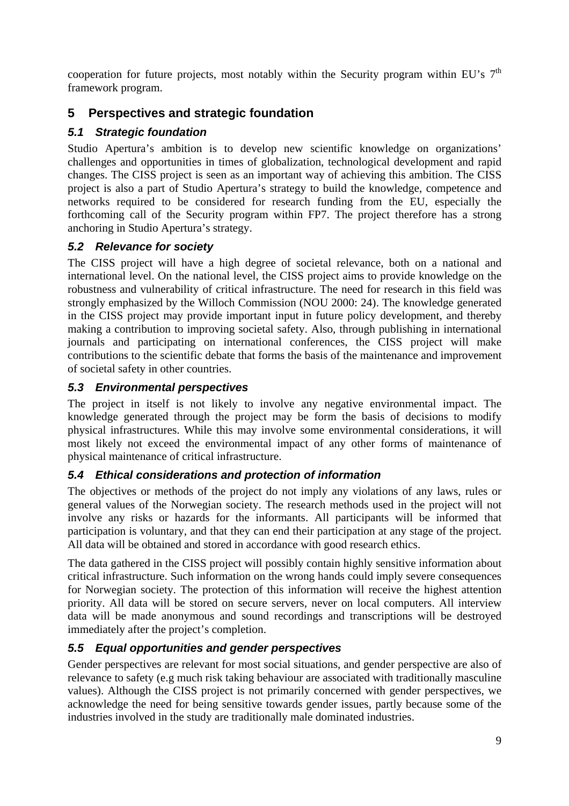cooperation for future projects, most notably within the Security program within EU's  $7<sup>th</sup>$ framework program.

# **5 Perspectives and strategic foundation**

# *5.1 Strategic foundation*

Studio Apertura's ambition is to develop new scientific knowledge on organizations' challenges and opportunities in times of globalization, technological development and rapid changes. The CISS project is seen as an important way of achieving this ambition. The CISS project is also a part of Studio Apertura's strategy to build the knowledge, competence and networks required to be considered for research funding from the EU, especially the forthcoming call of the Security program within FP7. The project therefore has a strong anchoring in Studio Apertura's strategy.

## *5.2 Relevance for society*

The CISS project will have a high degree of societal relevance, both on a national and international level. On the national level, the CISS project aims to provide knowledge on the robustness and vulnerability of critical infrastructure. The need for research in this field was strongly emphasized by the Willoch Commission (NOU 2000: 24). The knowledge generated in the CISS project may provide important input in future policy development, and thereby making a contribution to improving societal safety. Also, through publishing in international journals and participating on international conferences, the CISS project will make contributions to the scientific debate that forms the basis of the maintenance and improvement of societal safety in other countries.

## *5.3 Environmental perspectives*

The project in itself is not likely to involve any negative environmental impact. The knowledge generated through the project may be form the basis of decisions to modify physical infrastructures. While this may involve some environmental considerations, it will most likely not exceed the environmental impact of any other forms of maintenance of physical maintenance of critical infrastructure.

## *5.4 Ethical considerations and protection of information*

The objectives or methods of the project do not imply any violations of any laws, rules or general values of the Norwegian society. The research methods used in the project will not involve any risks or hazards for the informants. All participants will be informed that participation is voluntary, and that they can end their participation at any stage of the project. All data will be obtained and stored in accordance with good research ethics.

The data gathered in the CISS project will possibly contain highly sensitive information about critical infrastructure. Such information on the wrong hands could imply severe consequences for Norwegian society. The protection of this information will receive the highest attention priority. All data will be stored on secure servers, never on local computers. All interview data will be made anonymous and sound recordings and transcriptions will be destroyed immediately after the project's completion.

# *5.5 Equal opportunities and gender perspectives*

Gender perspectives are relevant for most social situations, and gender perspective are also of relevance to safety (e.g much risk taking behaviour are associated with traditionally masculine values). Although the CISS project is not primarily concerned with gender perspectives, we acknowledge the need for being sensitive towards gender issues, partly because some of the industries involved in the study are traditionally male dominated industries.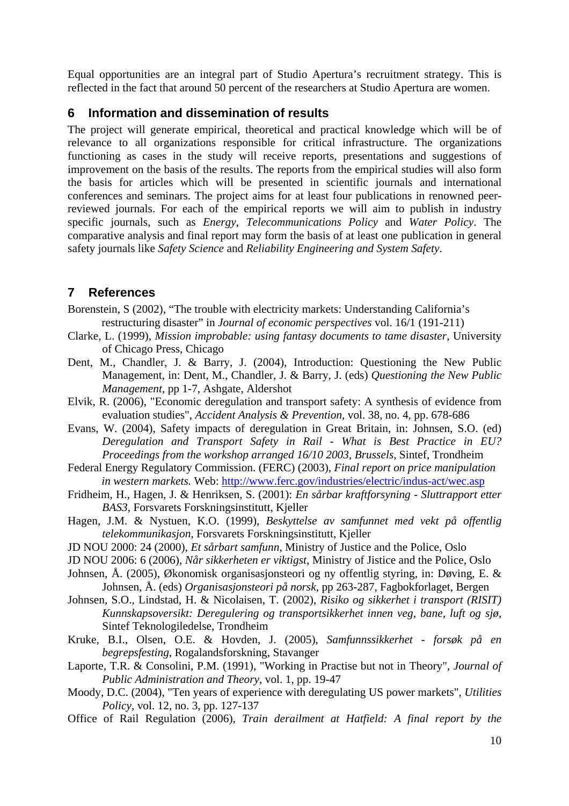Equal opportunities are an integral part of Studio Apertura's recruitment strategy. This is reflected in the fact that around 50 percent of the researchers at Studio Apertura are women.

### **6 Information and dissemination of results**

The project will generate empirical, theoretical and practical knowledge which will be of relevance to all organizations responsible for critical infrastructure. The organizations functioning as cases in the study will receive reports, presentations and suggestions of improvement on the basis of the results. The reports from the empirical studies will also form the basis for articles which will be presented in scientific journals and international conferences and seminars. The project aims for at least four publications in renowned peerreviewed journals. For each of the empirical reports we will aim to publish in industry specific journals, such as *Energy*, *Telecommunications Policy* and *Water Policy*. The comparative analysis and final report may form the basis of at least one publication in general safety journals like *Safety Science* and *Reliability Engineering and System Safety*.

## **7 References**

Borenstein, S (2002), "The trouble with electricity markets: Understanding California's restructuring disaster" in *Journal of economic perspectives* vol. 16/1 (191-211)

- Clarke, L. (1999), *Mission improbable: using fantasy documents to tame disaster*, University of Chicago Press, Chicago
- Dent, M., Chandler, J. & Barry, J. (2004), Introduction: Questioning the New Public Management, in: Dent, M., Chandler, J. & Barry, J. (eds) *Questioning the New Public Management*, pp 1-7, Ashgate, Aldershot
- Elvik, R. (2006), "Economic deregulation and transport safety: A synthesis of evidence from evaluation studies", *Accident Analysis & Prevention*, vol. 38, no. 4, pp. 678-686
- Evans, W. (2004), Safety impacts of deregulation in Great Britain, in: Johnsen, S.O. (ed) *Deregulation and Transport Safety in Rail - What is Best Practice in EU? Proceedings from the workshop arranged 16/10 2003, Brussels*, Sintef, Trondheim
- Federal Energy Regulatory Commission. (FERC) (2003), *Final report on price manipulation in western markets.* Web: http://www.ferc.gov/industries/electric/indus-act/wec.asp
- Fridheim, H., Hagen, J. & Henriksen, S. (2001): *En sårbar kraftforsyning Sluttrapport etter BAS3*, Forsvarets Forskningsinstitutt, Kjeller
- Hagen, J.M. & Nystuen, K.O. (1999), *Beskyttelse av samfunnet med vekt på offentlig telekommunikasjon*, Forsvarets Forskningsinstitutt, Kjeller
- JD NOU 2000: 24 (2000), *Et sårbart samfunn*, Ministry of Justice and the Police, Oslo
- JD NOU 2006: 6 (2006), *Når sikkerheten er viktigst*, Ministry of Jistice and the Police, Oslo
- Johnsen, Å. (2005), Økonomisk organisasjonsteori og ny offentlig styring, in: Døving, E. & Johnsen, Å. (eds) *Organisasjonsteori på norsk*, pp 263-287, Fagbokforlaget, Bergen
- Johnsen, S.O., Lindstad, H. & Nicolaisen, T. (2002), *Risiko og sikkerhet i transport (RISIT) Kunnskapsoversikt: Deregulering og transportsikkerhet innen veg, bane, luft og sjø*, Sintef Teknologiledelse, Trondheim
- Kruke, B.I., Olsen, O.E. & Hovden, J. (2005), *Samfunnssikkerhet forsøk på en begrepsfesting*, Rogalandsforskning, Stavanger
- Laporte, T.R. & Consolini, P.M. (1991), "Working in Practise but not in Theory", *Journal of Public Administration and Theory*, vol. 1, pp. 19-47
- Moody, D.C. (2004), "Ten years of experience with deregulating US power markets", *Utilities Policy*, vol. 12, no. 3, pp. 127-137
- Office of Rail Regulation (2006), *Train derailment at Hatfield: A final report by the*